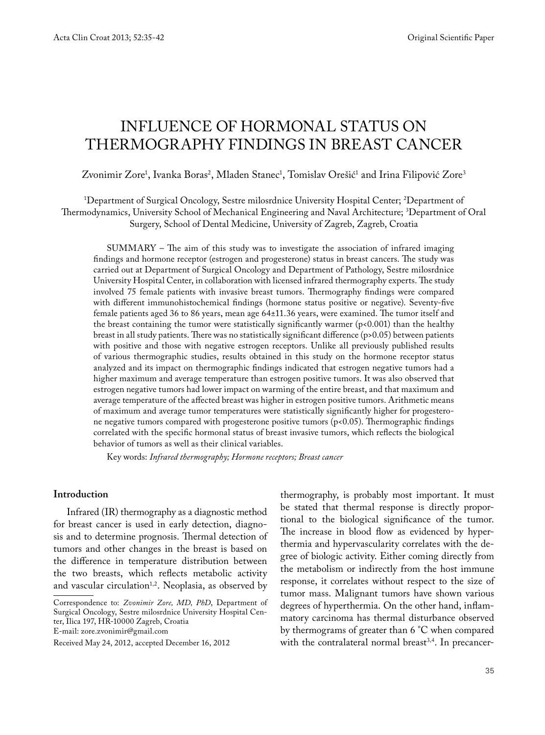# INFLUENCE OF HORMONAL STATUS ON THERMOGRAPHY FINDINGS IN BREAST CANCER

# Zvonimir Zore<sup>1</sup>, Ivanka Boras<sup>2</sup>, Mladen Stanec<sup>1</sup>, Tomislav Orešić<sup>1</sup> and Irina Filipović Zore<sup>3</sup>

# 1 Department of Surgical Oncology, Sestre milosrdnice University Hospital Center; 2 Department of Thermodynamics, University School of Mechanical Engineering and Naval Architecture; 3Department of Oral Surgery, School of Dental Medicine, University of Zagreb, Zagreb, Croatia

 $SUMMARY - The aim of this study was to investigate the association of infrared imaging$ findings and hormone receptor (estrogen and progesterone) status in breast cancers. The study was carried out at Department of Surgical Oncology and Department of Pathology, Sestre milosrdnice University Hospital Center, in collaboration with licensed infrared thermography experts. The study involved 75 female patients with invasive breast tumors. Thermography findings were compared with different immunohistochemical findings (hormone status positive or negative). Seventy-five female patients aged 36 to 86 years, mean age 64±11.36 years, were examined. The tumor itself and the breast containing the tumor were statistically significantly warmer  $(p<0.001)$  than the healthy breast in all study patients. There was no statistically significant difference (p>0.05) between patients with positive and those with negative estrogen receptors. Unlike all previously published results of various thermographic studies, results obtained in this study on the hormone receptor status analyzed and its impact on thermographic findings indicated that estrogen negative tumors had a higher maximum and average temperature than estrogen positive tumors. It was also observed that estrogen negative tumors had lower impact on warming of the entire breast, and that maximum and average temperature of the affected breast was higher in estrogen positive tumors. Arithmetic means of maximum and average tumor temperatures were statistically significantly higher for progesterone negative tumors compared with progesterone positive tumors (p<0.05). Thermographic findings correlated with the specific hormonal status of breast invasive tumors, which reflects the biological behavior of tumors as well as their clinical variables.

Key words: *Infrared thermography; Hormone receptors; Breast cancer*

#### **Introduction**

Infrared (IR) thermography as a diagnostic method for breast cancer is used in early detection, diagnosis and to determine prognosis. Thermal detection of tumors and other changes in the breast is based on the difference in temperature distribution between the two breasts, which reflects metabolic activity and vascular circulation<sup>1,2</sup>. Neoplasia, as observed by

E-mail: zore.zvonimir@gmail.com

thermography, is probably most important. It must be stated that thermal response is directly proportional to the biological significance of the tumor. The increase in blood flow as evidenced by hyperthermia and hypervascularity correlates with the degree of biologic activity. Either coming directly from the metabolism or indirectly from the host immune response, it correlates without respect to the size of tumor mass. Malignant tumors have shown various degrees of hyperthermia. On the other hand, inflammatory carcinoma has thermal disturbance observed by thermograms of greater than 6 °C when compared with the contralateral normal breast<sup>3,4</sup>. In precancer-

Correspondence to: *Zvonimir Zore, MD, PhD*, Department of Surgical Oncology, Sestre milosrdnice University Hospital Center, Ilica 197, HR-10000 Zagreb, Croatia

Received May 24, 2012, accepted December 16, 2012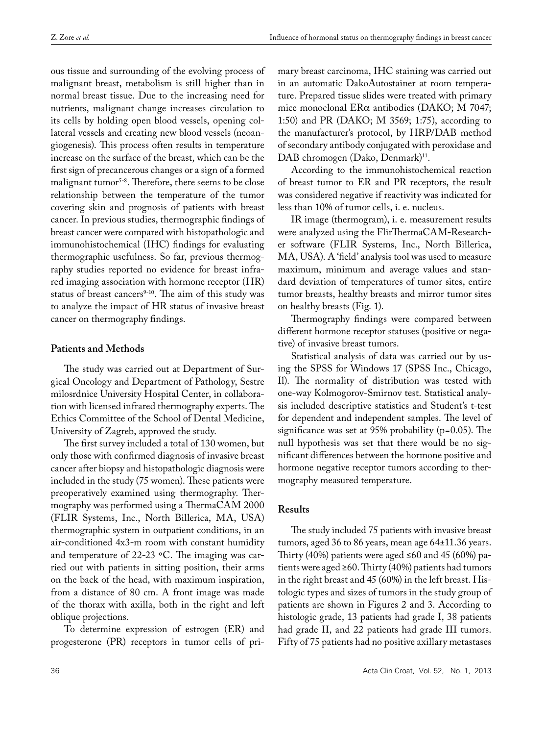ous tissue and surrounding of the evolving process of malignant breast, metabolism is still higher than in normal breast tissue. Due to the increasing need for nutrients, malignant change increases circulation to its cells by holding open blood vessels, opening collateral vessels and creating new blood vessels (neoangiogenesis). This process often results in temperature increase on the surface of the breast, which can be the first sign of precancerous changes or a sign of a formed malignant tumor<sup>5-8</sup>. Therefore, there seems to be close relationship between the temperature of the tumor covering skin and prognosis of patients with breast cancer. In previous studies, thermographic findings of breast cancer were compared with histopathologic and immunohistochemical (IHC) findings for evaluating thermographic usefulness. So far, previous thermography studies reported no evidence for breast infrared imaging association with hormone receptor (HR) status of breast cancers<sup>9-10</sup>. The aim of this study was to analyze the impact of HR status of invasive breast cancer on thermography findings.

#### **Patients and Methods**

The study was carried out at Department of Surgical Oncology and Department of Pathology, Sestre milosrdnice University Hospital Center, in collaboration with licensed infrared thermography experts. The Ethics Committee of the School of Dental Medicine, University of Zagreb, approved the study.

The first survey included a total of 130 women, but only those with confirmed diagnosis of invasive breast cancer after biopsy and histopathologic diagnosis were included in the study (75 women). These patients were preoperatively examined using thermography. Thermography was performed using a ThermaCAM 2000 (FLIR Systems, Inc., North Billerica, MA, USA) thermographic system in outpatient conditions, in an air-conditioned 4x3-m room with constant humidity and temperature of 22-23  $\,^{\circ}$ C. The imaging was carried out with patients in sitting position, their arms on the back of the head, with maximum inspiration, from a distance of 80 cm. A front image was made of the thorax with axilla, both in the right and left oblique projections.

To determine expression of estrogen (ER) and progesterone (PR) receptors in tumor cells of primary breast carcinoma, IHC staining was carried out in an automatic DakoAutostainer at room temperature. Prepared tissue slides were treated with primary mice monoclonal  $ER\alpha$  antibodies (DAKO; M 7047; 1:50) and PR (DAKO; M 3569; 1:75), according to the manufacturer's protocol, by HRP/DAB method of secondary antibody conjugated with peroxidase and DAB chromogen (Dako, Denmark)<sup>11</sup>.

According to the immunohistochemical reaction of breast tumor to ER and PR receptors, the result was considered negative if reactivity was indicated for less than 10% of tumor cells, i. e. nucleus.

IR image (thermogram), i. e. measurement results were analyzed using the FlirThermaCAM-Researcher software (FLIR Systems, Inc., North Billerica, MA, USA). A 'field' analysis tool was used to measure maximum, minimum and average values and standard deviation of temperatures of tumor sites, entire tumor breasts, healthy breasts and mirror tumor sites on healthy breasts (Fig. 1).

Thermography findings were compared between different hormone receptor statuses (positive or negative) of invasive breast tumors.

Statistical analysis of data was carried out by using the SPSS for Windows 17 (SPSS Inc., Chicago, Il). The normality of distribution was tested with one-way Kolmogorov-Smirnov test. Statistical analysis included descriptive statistics and Student's t-test for dependent and independent samples. The level of significance was set at  $95\%$  probability (p=0.05). The null hypothesis was set that there would be no significant differences between the hormone positive and hormone negative receptor tumors according to thermography measured temperature.

## **Results**

The study included 75 patients with invasive breast tumors, aged 36 to 86 years, mean age 64±11.36 years. Thirty (40%) patients were aged ≤60 and 45 (60%) patients were aged  $\geq 60$ . Thirty (40%) patients had tumors in the right breast and 45 (60%) in the left breast. Histologic types and sizes of tumors in the study group of patients are shown in Figures 2 and 3. According to histologic grade, 13 patients had grade I, 38 patients had grade II, and 22 patients had grade III tumors. Fifty of 75 patients had no positive axillary metastases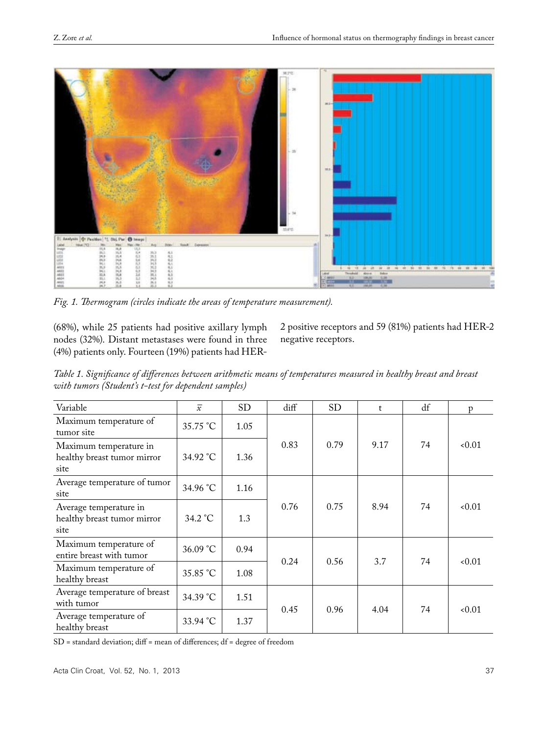

Fig. 1. Thermogram (circles indicate the areas of temperature measurement).

(68%), while 25 patients had positive axillary lymph nodes (32%). Distant metastases were found in three (4%) patients only. Fourteen (19%) patients had HER-

2 positive receptors and 59 (81%) patients had HER-2 negative receptors.

*Table 1. Significance of differences between arithmetic means of temperatures measured in healthy breast and breast with tumors (Student's t-test for dependent samples)* 

| Variable                                                      | $\overline{x}$ | <b>SD</b> | diff | <b>SD</b> | $\mathsf{t}$ | df | p      |
|---------------------------------------------------------------|----------------|-----------|------|-----------|--------------|----|--------|
| Maximum temperature of<br>tumor site                          | 35.75 °C       | 1.05      |      | 0.79      | 9.17         | 74 | < 0.01 |
| Maximum temperature in<br>healthy breast tumor mirror<br>site | 34.92 °C       | 1.36      | 0.83 |           |              |    |        |
| Average temperature of tumor<br>site                          | 34.96 °C       | 1.16      | 0.76 | 0.75      | 8.94         | 74 | < 0.01 |
| Average temperature in<br>healthy breast tumor mirror<br>site | 34.2 °C        | 1.3       |      |           |              |    |        |
| Maximum temperature of<br>entire breast with tumor            | 36.09 °C       | 0.94      | 0.24 | 0.56      | 3.7          | 74 | < 0.01 |
| Maximum temperature of<br>healthy breast                      | 35.85 °C       | 1.08      |      |           |              |    |        |
| Average temperature of breast<br>with tumor                   | 34.39 °C       | 1.51      | 0.45 | 0.96      | 4.04         | 74 | 0.01   |
| Average temperature of<br>healthy breast                      | 33.94 °C       | 1.37      |      |           |              |    |        |

SD = standard deviation; diff = mean of differences; df = degree of freedom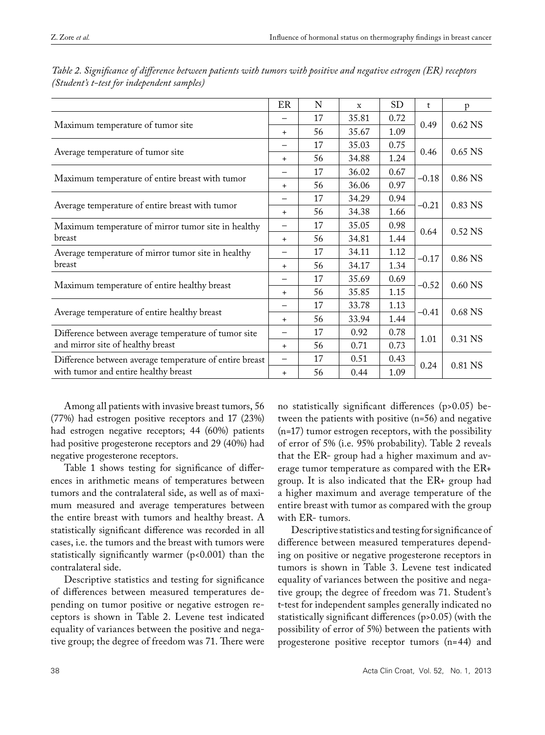|                                                         | ER        | N  | X     | <b>SD</b> | t       | p         |
|---------------------------------------------------------|-----------|----|-------|-----------|---------|-----------|
|                                                         |           | 17 | 35.81 | 0.72      | 0.49    |           |
| Maximum temperature of tumor site                       |           | 56 | 35.67 | 1.09      |         | $0.62$ NS |
| Average temperature of tumor site                       |           | 17 | 35.03 | 0.75      | 0.46    | 0.65 NS   |
|                                                         |           | 56 | 34.88 | 1.24      |         |           |
| Maximum temperature of entire breast with tumor         |           | 17 | 36.02 | 0.67      | $-0.18$ | 0.86 NS   |
|                                                         |           | 56 | 36.06 | 0.97      |         |           |
|                                                         |           | 17 | 34.29 | 0.94      | $-0.21$ | 0.83 NS   |
| Average temperature of entire breast with tumor         | $\ddot{}$ | 56 | 34.38 | 1.66      |         |           |
| Maximum temperature of mirror tumor site in healthy     |           | 17 | 35.05 | 0.98      | 0.64    | 0.52 NS   |
| breast                                                  | $+$       | 56 | 34.81 | 1.44      |         |           |
| Average temperature of mirror tumor site in healthy     |           | 17 | 34.11 | 1.12      | $-0.17$ | 0.86 NS   |
| breast                                                  | $+$       | 56 | 34.17 | 1.34      |         |           |
| Maximum temperature of entire healthy breast            |           | 17 | 35.69 | 0.69      | $-0.52$ | 0.60 NS   |
|                                                         | $+$       | 56 | 35.85 | 1.15      |         |           |
|                                                         |           | 17 | 33.78 | 1.13      | $-0.41$ | 0.68 NS   |
| Average temperature of entire healthy breast            | $\ddot{}$ | 56 | 33.94 | 1.44      |         |           |
| Difference between average temperature of tumor site    | —         | 17 | 0.92  | 0.78      | 1.01    | 0.31 NS   |
| and mirror site of healthy breast                       | $\ddot{}$ | 56 | 0.71  | 0.73      |         |           |
| Difference between average temperature of entire breast | -         | 17 | 0.51  | 0.43      | 0.24    | 0.81 NS   |
| with tumor and entire healthy breast                    | $\ddot{}$ | 56 | 0.44  | 1.09      |         |           |

*Table 2. Significance of difference between patients with tumors with positive and negative estrogen (ER) receptors (Student's t-test for independent samples)* 

Among all patients with invasive breast tumors, 56 (77%) had estrogen positive receptors and 17 (23%) had estrogen negative receptors; 44 (60%) patients had positive progesterone receptors and 29 (40%) had negative progesterone receptors.

Table 1 shows testing for significance of differences in arithmetic means of temperatures between tumors and the contralateral side, as well as of maximum measured and average temperatures between the entire breast with tumors and healthy breast. A statistically significant difference was recorded in all cases, i.e. the tumors and the breast with tumors were statistically significantly warmer (p<0.001) than the contralateral side.

Descriptive statistics and testing for significance of differences between measured temperatures depending on tumor positive or negative estrogen receptors is shown in Table 2. Levene test indicated equality of variances between the positive and negative group; the degree of freedom was 71. There were

no statistically significant differences (p>0.05) between the patients with positive (n=56) and negative (n=17) tumor estrogen receptors, with the possibility of error of 5% (i.e. 95% probability). Table 2 reveals that the ER- group had a higher maximum and average tumor temperature as compared with the ER+ group. It is also indicated that the ER+ group had a higher maximum and average temperature of the entire breast with tumor as compared with the group with ER- tumors.

Descriptive statistics and testing for significance of difference between measured temperatures depending on positive or negative progesterone receptors in tumors is shown in Table 3. Levene test indicated equality of variances between the positive and negative group; the degree of freedom was 71. Student's t-test for independent samples generally indicated no statistically significant differences (p>0.05) (with the possibility of error of 5%) between the patients with progesterone positive receptor tumors (n=44) and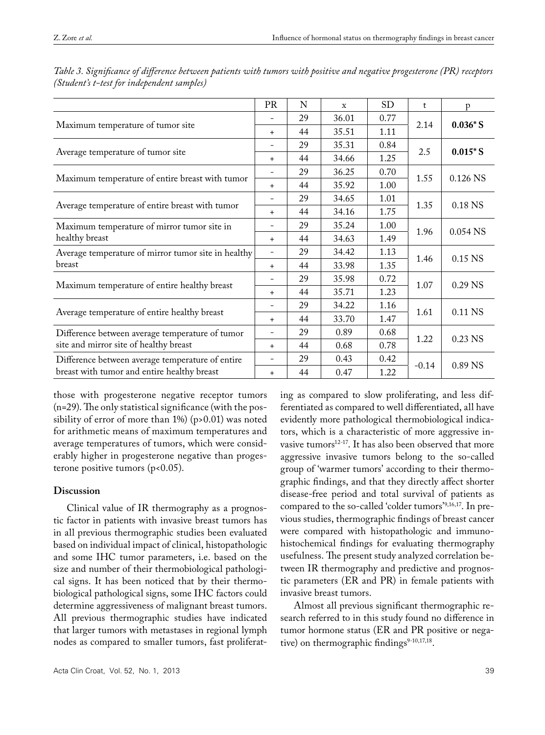|                                                                                                 | <b>PR</b>                | N  | X     | <b>SD</b> | t       | p           |
|-------------------------------------------------------------------------------------------------|--------------------------|----|-------|-----------|---------|-------------|
| Maximum temperature of tumor site                                                               |                          | 29 | 36.01 | 0.77      |         |             |
|                                                                                                 |                          | 44 | 35.51 | 1.11      | 2.14    | $0.036*S$   |
| Average temperature of tumor site                                                               |                          | 29 | 35.31 | 0.84      | 2.5     | $0.015 * S$ |
|                                                                                                 |                          | 44 | 34.66 | 1.25      |         |             |
| Maximum temperature of entire breast with tumor                                                 |                          | 29 | 36.25 | 0.70      | 1.55    | 0.126 NS    |
|                                                                                                 |                          | 44 | 35.92 | 1.00      |         |             |
| Average temperature of entire breast with tumor                                                 |                          | 29 | 34.65 | 1.01      | 1.35    | 0.18 NS     |
|                                                                                                 |                          | 44 | 34.16 | 1.75      |         |             |
| Maximum temperature of mirror tumor site in                                                     |                          | 29 | 35.24 | 1.00      | 1.96    | 0.054 NS    |
| healthy breast                                                                                  | $\ddot{}$                | 44 | 34.63 | 1.49      |         |             |
| Average temperature of mirror tumor site in healthy                                             | $\overline{\phantom{a}}$ | 29 | 34.42 | 1.13      | 1.46    | $0.15$ NS   |
| breast                                                                                          |                          | 44 | 33.98 | 1.35      |         |             |
| Maximum temperature of entire healthy breast                                                    |                          | 29 | 35.98 | 0.72      | 1.07    | 0.29 NS     |
|                                                                                                 |                          | 44 | 35.71 | 1.23      |         |             |
| Average temperature of entire healthy breast                                                    |                          | 29 | 34.22 | 1.16      | 1.61    | 0.11 NS     |
|                                                                                                 |                          | 44 | 33.70 | 1.47      |         |             |
| Difference between average temperature of tumor<br>site and mirror site of healthy breast       |                          | 29 | 0.89  | 0.68      |         | 0.23 NS     |
|                                                                                                 |                          | 44 | 0.68  | 0.78      | 1.22    |             |
| Difference between average temperature of entire<br>breast with tumor and entire healthy breast |                          | 29 | 0.43  | 0.42      | $-0.14$ | 0.89 NS     |
|                                                                                                 |                          | 44 | 0.47  | 1.22      |         |             |

*Table 3. Significance of difference between patients with tumors with positive and negative progesterone (PR) receptors (Student's t-test for independent samples)* 

those with progesterone negative receptor tumors  $(n=29)$ . The only statistical significance (with the possibility of error of more than 1%) (p>0.01) was noted for arithmetic means of maximum temperatures and average temperatures of tumors, which were considerably higher in progesterone negative than progesterone positive tumors  $(p<0.05)$ .

#### **Discussion**

Clinical value of IR thermography as a prognostic factor in patients with invasive breast tumors has in all previous thermographic studies been evaluated based on individual impact of clinical, histopathologic and some IHC tumor parameters, i.e. based on the size and number of their thermobiological pathological signs. It has been noticed that by their thermobiological pathological signs, some IHC factors could determine aggressiveness of malignant breast tumors. All previous thermographic studies have indicated that larger tumors with metastases in regional lymph nodes as compared to smaller tumors, fast proliferatferentiated as compared to well differentiated, all have evidently more pathological thermobiological indicators, which is a characteristic of more aggressive invasive tumors<sup>12-17</sup>. It has also been observed that more aggressive invasive tumors belong to the so-called group of 'warmer tumors' according to their thermographic findings, and that they directly affect shorter disease-free period and total survival of patients as compared to the so-called 'colder tumors'9,16,17. In previous studies, thermographic findings of breast cancer were compared with histopathologic and immunohistochemical findings for evaluating thermography usefulness. The present study analyzed correlation between IR thermography and predictive and prognostic parameters (ER and PR) in female patients with invasive breast tumors.

ing as compared to slow proliferating, and less dif-

Almost all previous significant thermographic research referred to in this study found no difference in tumor hormone status (ER and PR positive or negative) on thermographic findings $9-10,17,18$ .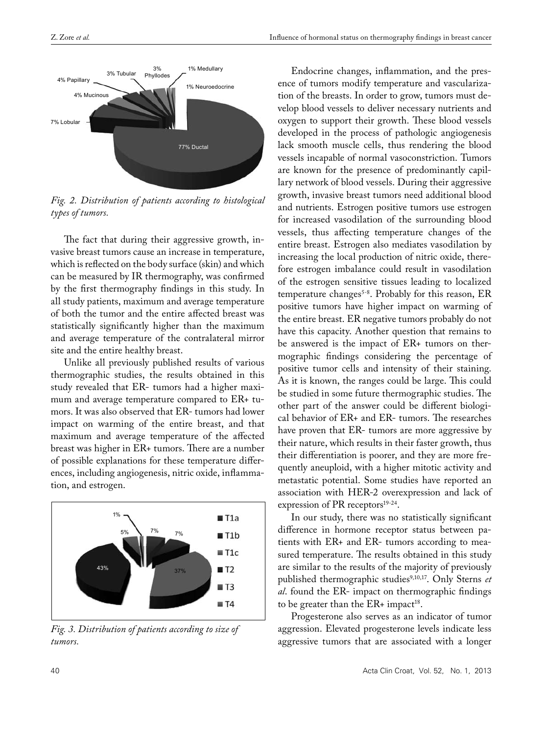

*Fig. 2. Distribution of patients according to histological types of tumors.*

The fact that during their aggressive growth, invasive breast tumors cause an increase in temperature, which is reflected on the body surface (skin) and which can be measured by IR thermography, was confirmed by the first thermography findings in this study. In all study patients, maximum and average temperature of both the tumor and the entire affected breast was statistically significantly higher than the maximum and average temperature of the contralateral mirror site and the entire healthy breast.

Unlike all previously published results of various thermographic studies, the results obtained in this study revealed that ER- tumors had a higher maximum and average temperature compared to ER+ tumors. It was also observed that ER- tumors had lower impact on warming of the entire breast, and that maximum and average temperature of the affected breast was higher in ER+ tumors. There are a number of possible explanations for these temperature differences, including angiogenesis, nitric oxide, inflammation, and estrogen.



*Fig. 3. Distribution of patients according to size of tumors.*

Endocrine changes, inflammation, and the presence of tumors modify temperature and vascularization of the breasts. In order to grow, tumors must develop blood vessels to deliver necessary nutrients and oxygen to support their growth. These blood vessels developed in the process of pathologic angiogenesis lack smooth muscle cells, thus rendering the blood vessels incapable of normal vasoconstriction. Tumors are known for the presence of predominantly capillary network of blood vessels. During their aggressive growth, invasive breast tumors need additional blood and nutrients. Estrogen positive tumors use estrogen for increased vasodilation of the surrounding blood vessels, thus affecting temperature changes of the entire breast. Estrogen also mediates vasodilation by increasing the local production of nitric oxide, therefore estrogen imbalance could result in vasodilation of the estrogen sensitive tissues leading to localized temperature changes<sup>5-8</sup>. Probably for this reason, ER positive tumors have higher impact on warming of the entire breast. ER negative tumors probably do not have this capacity. Another question that remains to be answered is the impact of ER+ tumors on thermographic findings considering the percentage of positive tumor cells and intensity of their staining. As it is known, the ranges could be large. This could be studied in some future thermographic studies. The other part of the answer could be different biological behavior of  $ER+$  and  $ER-$  tumors. The researches have proven that ER- tumors are more aggressive by their nature, which results in their faster growth, thus their differentiation is poorer, and they are more frequently aneuploid, with a higher mitotic activity and metastatic potential. Some studies have reported an association with HER-2 overexpression and lack of expression of PR receptors $19-24$ .

In our study, there was no statistically significant difference in hormone receptor status between patients with ER+ and ER- tumors according to measured temperature. The results obtained in this study are similar to the results of the majority of previously published thermographic studies<sup>9,10,17</sup>. Only Sterns *et al*. found the ER- impact on thermographic findings to be greater than the  $ER+$  impact<sup>18</sup>.

Progesterone also serves as an indicator of tumor aggression. Elevated progesterone levels indicate less aggressive tumors that are associated with a longer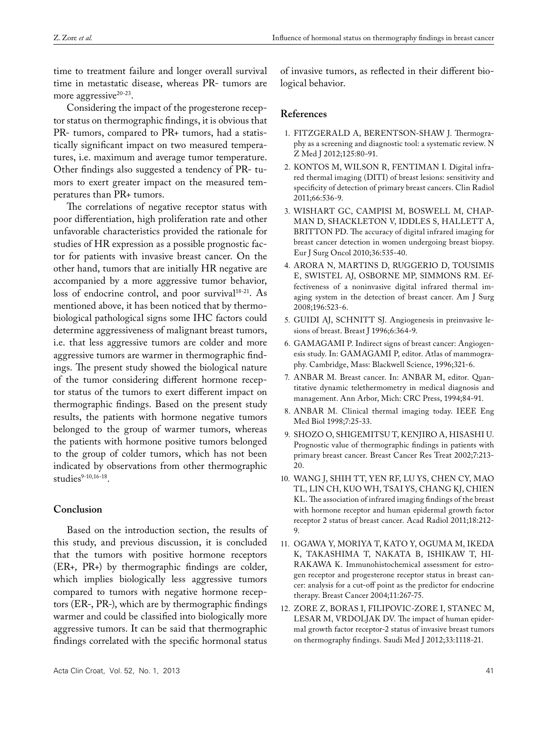time to treatment failure and longer overall survival time in metastatic disease, whereas PR- tumors are more aggressive<sup>20-23</sup>.

Considering the impact of the progesterone receptor status on thermographic findings, it is obvious that PR- tumors, compared to PR+ tumors, had a statistically significant impact on two measured temperatures, i.e. maximum and average tumor temperature. Other findings also suggested a tendency of PR- tumors to exert greater impact on the measured temperatures than PR+ tumors.

The correlations of negative receptor status with poor differentiation, high proliferation rate and other unfavorable characteristics provided the rationale for studies of HR expression as a possible prognostic factor for patients with invasive breast cancer. On the other hand, tumors that are initially HR negative are accompanied by a more aggressive tumor behavior, loss of endocrine control, and poor survival<sup>18-21</sup>. As mentioned above, it has been noticed that by thermobiological pathological signs some IHC factors could determine aggressiveness of malignant breast tumors, i.e. that less aggressive tumors are colder and more aggressive tumors are warmer in thermographic findings. The present study showed the biological nature of the tumor considering different hormone receptor status of the tumors to exert different impact on thermographic findings. Based on the present study results, the patients with hormone negative tumors belonged to the group of warmer tumors, whereas the patients with hormone positive tumors belonged to the group of colder tumors, which has not been indicated by observations from other thermographic studies $9-10,16-18$ .

## **Conclusion**

Based on the introduction section, the results of this study, and previous discussion, it is concluded that the tumors with positive hormone receptors (ER+, PR+) by thermographic findings are colder, which implies biologically less aggressive tumors compared to tumors with negative hormone receptors (ER-, PR-), which are by thermographic findings warmer and could be classified into biologically more aggressive tumors. It can be said that thermographic findings correlated with the specific hormonal status

Acta Clin Croat, Vol. 52, No. 1, 2013 41

of invasive tumors, as reflected in their different biological behavior.

#### **References**

- 1. FITZGERALD A, BERENTSON-SHAW J. Thermography as a screening and diagnostic tool: a systematic review. N Z Med J 2012;125:80-91.
- 2. KONTOS M, WILSON R, FENTIMAN I. Digital infrared thermal imaging (DITI) of breast lesions: sensitivity and specificity of detection of primary breast cancers. Clin Radiol 2011;66:536-9.
- 3. WISHART GC, CAMPISI M, BOSWELL M, CHAP-MAN D, SHACKLETON V, IDDLES S, HALLETT A, BRITTON PD. The accuracy of digital infrared imaging for breast cancer detection in women undergoing breast biopsy. Eur J Surg Oncol 2010;36:535-40.
- 4. ARORA N, MARTINS D, RUGGERIO D, TOUSIMIS E, SWISTEL AJ, OSBORNE MP, SIMMONS RM. Effectiveness of a noninvasive digital infrared thermal imaging system in the detection of breast cancer. Am J Surg 2008;196:523-6.
- 5. GUIDI AJ, SCHNITT SJ. Angiogenesis in preinvasive lesions of breast. Breast J 1996;6:364-9.
- 6. GAMAGAMI P. Indirect signs of breast cancer: Angiogenesis study. In: GAMAGAMI P, editor. Atlas of mammography. Cambridge, Mass: Blackwell Science, 1996;321-6.
- 7. ANBAR M. Breast cancer. In: ANBAR M, editor. Quantitative dynamic telethermometry in medical diagnosis and management. Ann Arbor, Mich: CRC Press, 1994;84-91.
- 8. ANBAR M. Clinical thermal imaging today. IEEE Eng Med Biol 1998;7:25-33.
- 9. SHOZO O, SHIGEMITSU T, KENJIRO A, HISASHI U. Prognostic value of thermographic findings in patients with primary breast cancer. Breast Cancer Res Treat 2002;7:213- 20.
- 10. WANG J, SHIH TT, YEN RF, LU YS, CHEN CY, MAO TL, LIN CH, KUO WH, TSAI YS, CHANG KJ, CHIEN KL. The association of infrared imaging findings of the breast with hormone receptor and human epidermal growth factor receptor 2 status of breast cancer. Acad Radiol 2011;18:212- 9.
- 11. OGAWA Y, MORIYA T, KATO Y, OGUMA M, IKEDA K, TAKASHIMA T, NAKATA B, ISHIKAW T, HI-RAKAWA K. Immunohistochemical assessment for estrogen receptor and progesterone receptor status in breast cancer: analysis for a cut-off point as the predictor for endocrine therapy. Breast Cancer 2004;11:267-75.
- 12. ZORE Z, BORAS I, FILIPOVIC-ZORE I, STANEC M, LESAR M, VRDOLJAK DV. The impact of human epidermal growth factor receptor-2 status of invasive breast tumors on thermography findings. Saudi Med J 2012;33:1118-21.